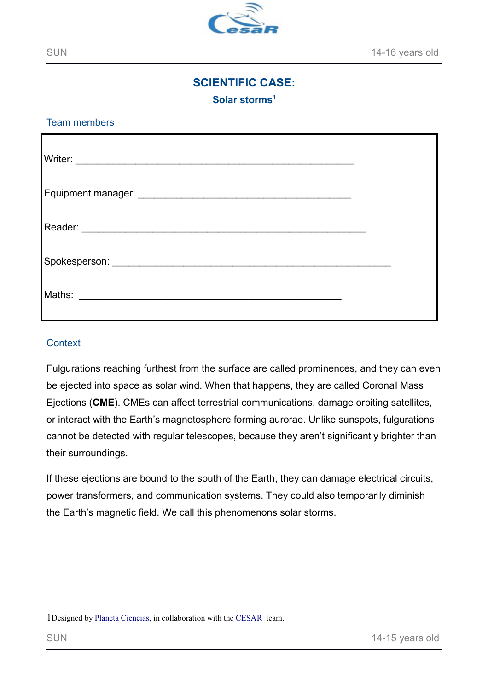

# **SCIENTIFIC CASE:**

**Solar storms[1](#page-0-0)**

Team members

#### **Context**

Fulgurations reaching furthest from the surface are called prominences, and they can even be ejected into space as solar wind. When that happens, they are called Coronal Mass Ejections (**CME**). CMEs can affect terrestrial communications, damage orbiting satellites, or interact with the Earth's magnetosphere forming aurorae. Unlike sunspots, fulgurations cannot be detected with regular telescopes, because they aren't significantly brighter than their surroundings.

If these ejections are bound to the south of the Earth, they can damage electrical circuits, power transformers, and communication systems. They could also temporarily diminish the Earth's magnetic field. We call this phenomenons solar storms.

<span id="page-0-0"></span>1Designed by [Planeta Ciencias,](http://planetaciencias.es/) in collaboration with the [CESAR](http://cesar.esa.int/) team.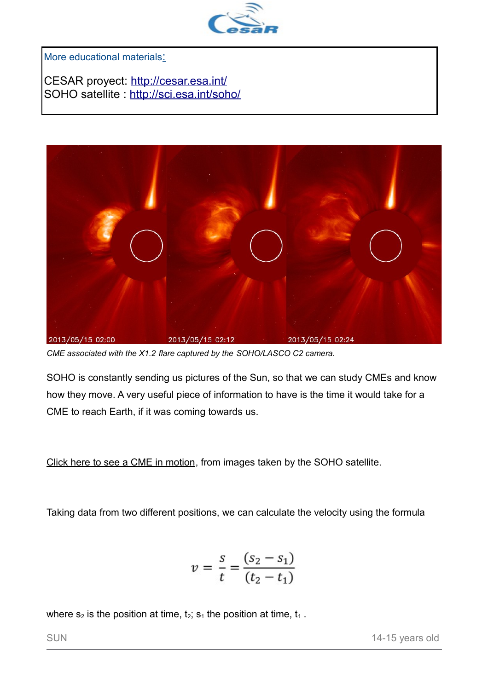

More educational materials:

CESAR proyect:<http://cesar.esa.int/> SOHO satellite :<http://sci.esa.int/soho/>



*CME associated with the X1.2 flare captured by the SOHO/LASCO C2 camera.*

SOHO is constantly sending us pictures of the Sun, so that we can study CMEs and know how they move. A very useful piece of information to have is the time it would take for a CME to reach Earth, if it was coming towards us.

[Click here to see a CME in motion,](https://youtu.be/gcn24Qz6zbs) from images taken by the SOHO satellite.

Taking data from two different positions, we can calculate the velocity using the formula

$$
v = \frac{s}{t} = \frac{(s_2 - s_1)}{(t_2 - t_1)}
$$

where  $s_2$  is the position at time,  $t_2$ ;  $s_1$  the position at time,  $t_1$ .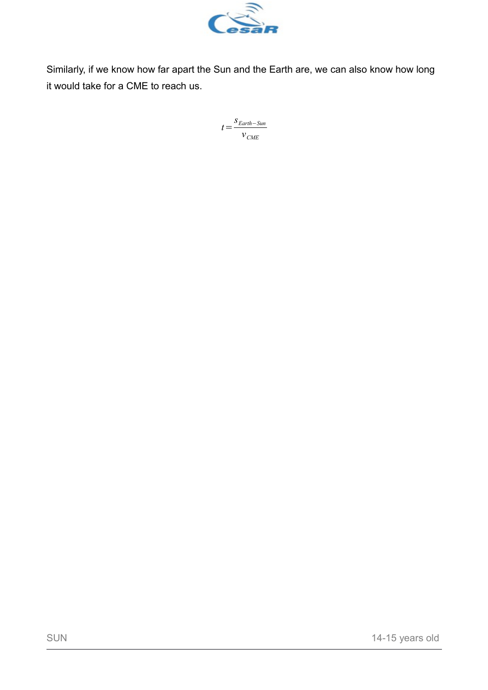

Similarly, if we know how far apart the Sun and the Earth are, we can also know how long it would take for a CME to reach us.

> *t*= *sEarth*−*Sun vCME*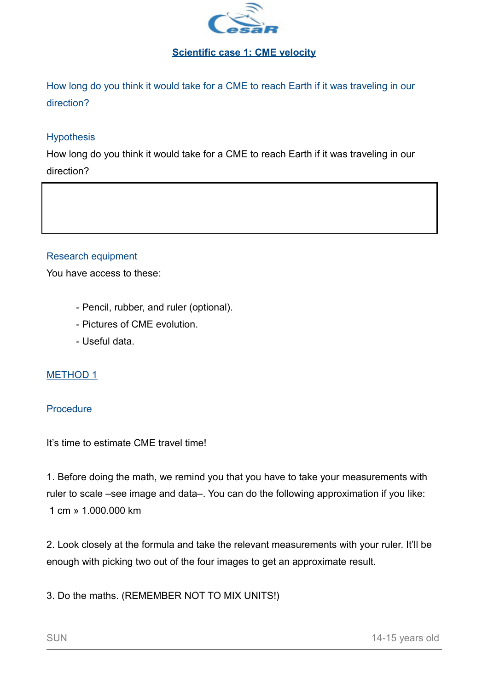

## **Scientific case 1: CME velocity**

How long do you think it would take for a CME to reach Earth if it was traveling in our direction?

# **Hypothesis**

How long do you think it would take for a CME to reach Earth if it was traveling in our direction?

#### Research equipment

You have access to these:

- Pencil, rubber, and ruler (optional).
- Pictures of CME evolution.
- Useful data.

#### METHOD 1

#### **Procedure**

It's time to estimate CME travel time!

1. Before doing the math, we remind you that you have to take your measurements with ruler to scale –see image and data–. You can do the following approximation if you like: 1 cm » 1.000.000 km

2. Look closely at the formula and take the relevant measurements with your ruler. It'll be enough with picking two out of the four images to get an approximate result.

3. Do the maths. (REMEMBER NOT TO MIX UNITS!)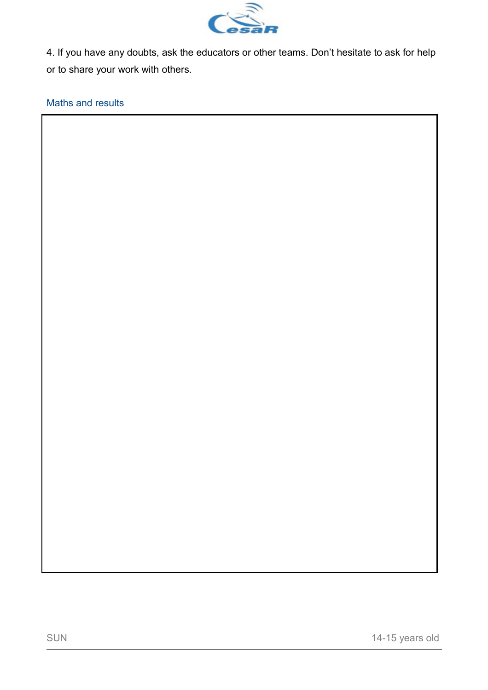

4. If you have any doubts, ask the educators or other teams. Don't hesitate to ask for help or to share your work with others.

Maths and results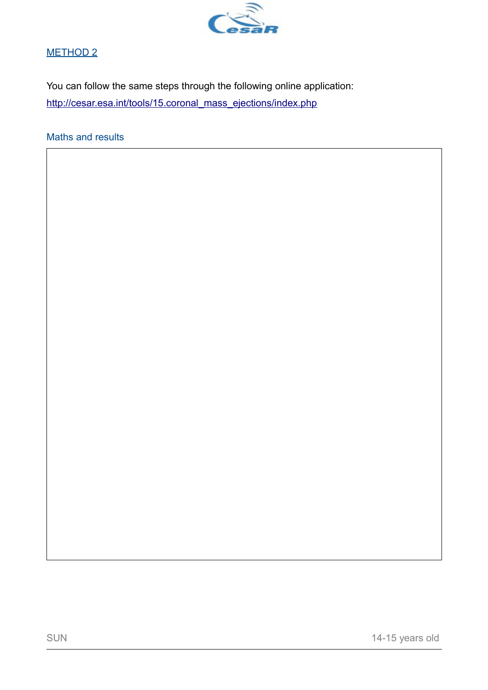

# METHOD 2

You can follow the same steps through the following online application: [http://cesar.esa.int/tools/15.coronal\\_mass\\_ejections/index.php](http://cesar.esa.int/tools/15.coronal_mass_ejections/index.php)

Maths and results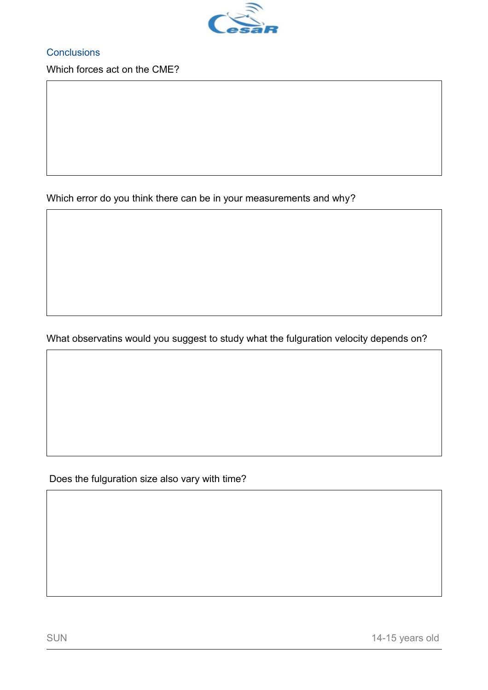

**Conclusions** 

Which forces act on the CME?

Which error do you think there can be in your measurements and why?

What observatins would you suggest to study what the fulguration velocity depends on?

Does the fulguration size also vary with time?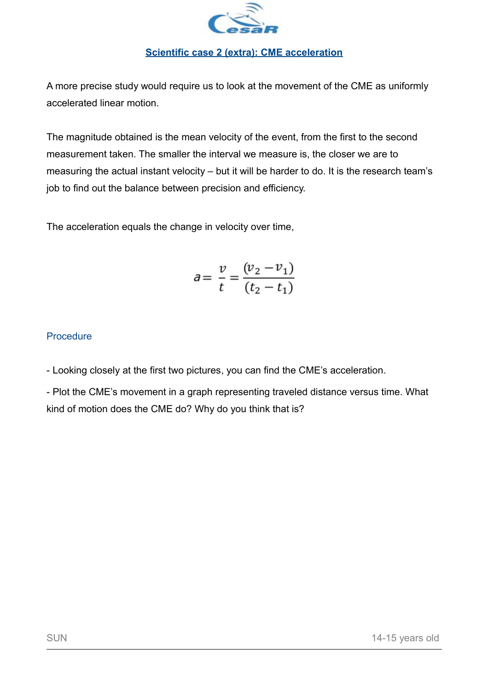

#### **Scientific case 2 (extra): CME acceleration**

A more precise study would require us to look at the movement of the CME as uniformly accelerated linear motion.

The magnitude obtained is the mean velocity of the event, from the first to the second measurement taken. The smaller the interval we measure is, the closer we are to measuring the actual instant velocity – but it will be harder to do. It is the research team's job to find out the balance between precision and efficiency.

The acceleration equals the change in velocity over time,

$$
a = \frac{v}{t} = \frac{(v_2 - v_1)}{(t_2 - t_1)}
$$

## **Procedure**

- Looking closely at the first two pictures, you can find the CME's acceleration.

- Plot the CME's movement in a graph representing traveled distance versus time. What kind of motion does the CME do? Why do you think that is?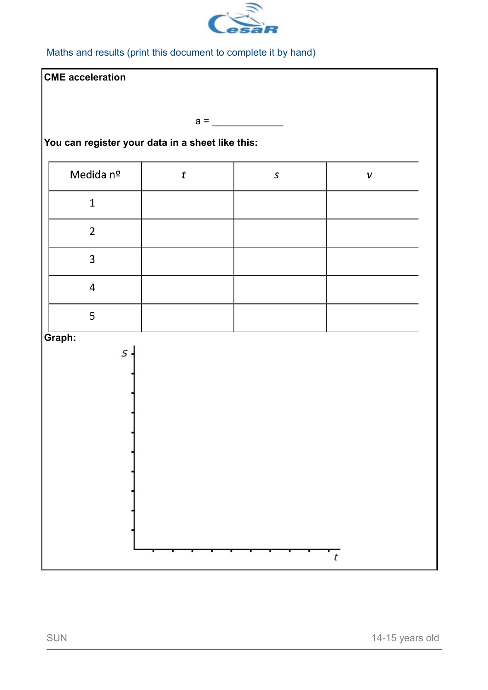

Maths and results (print this document to complete it by hand)

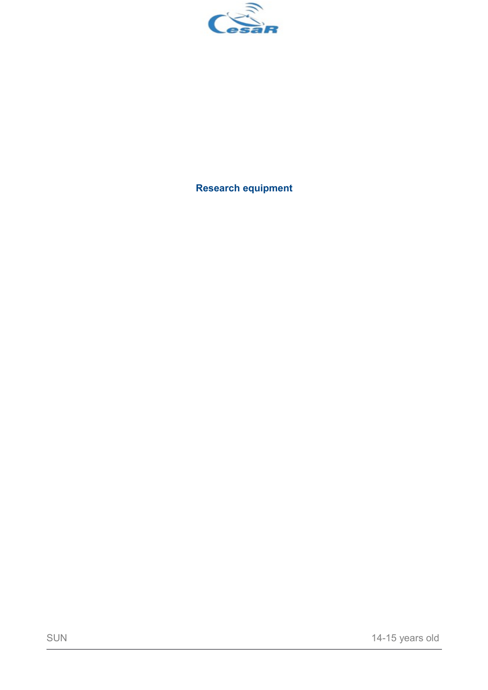

**Research equipment**